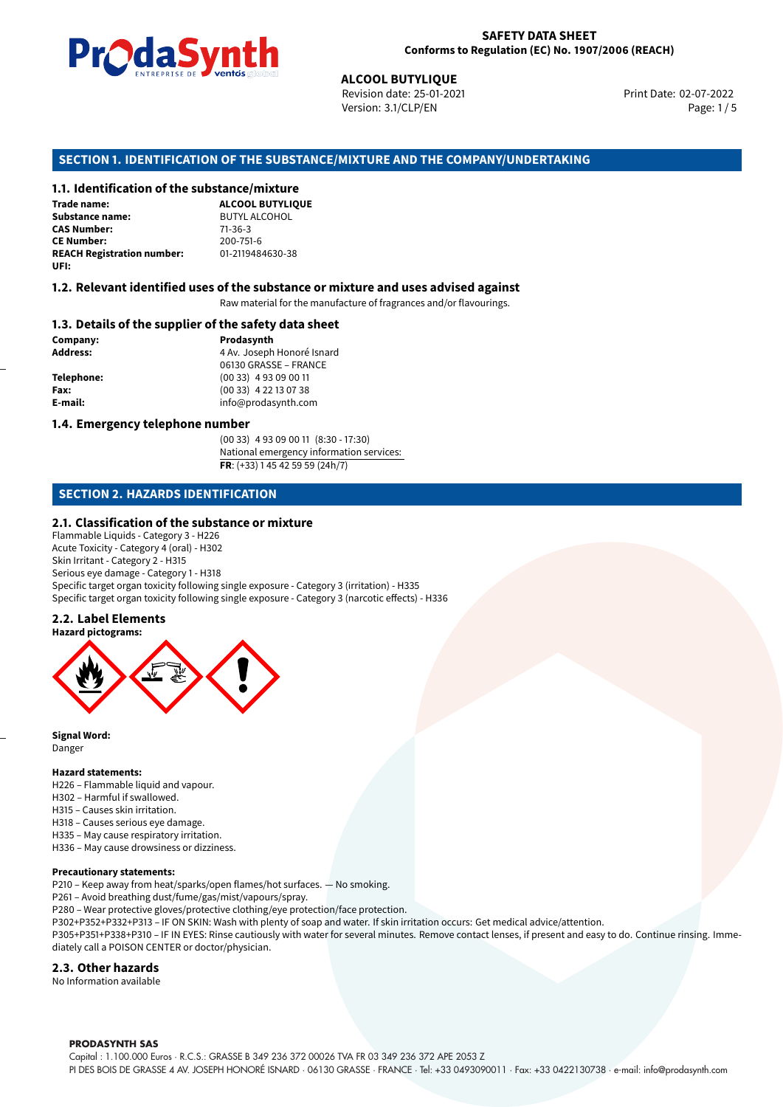

**ALCOOL BUTYLIQUE**<br>
Revision date: 25-01-20<br>
Version: 3.1/CLP/EN<br> **OF THE SUBSTANCE/MIXTURE AND THE CONTENT CONTENTS**<br> **ALCOOL BUTYLIQUE** Revision date: 25-01-2021 Version: 3.1/CLP/EN Page: 1 / 5

Print Date: 02-07-2022

## **SECTION 1. IDENTIFICATION OF THE SUBSTANCE/MIXTURE AND THE COMPANY/UNDERTAKING**

## **1.1. Identification of the substance/mixture**

| Trade name:                       | <b>ALCOOL BUTYLIOU</b> |
|-----------------------------------|------------------------|
| <b>Substance name:</b>            | <b>BUTYL ALCOHOL</b>   |
| <b>CAS Number:</b>                | $71 - 36 - 3$          |
| <b>CE Number:</b>                 | 200-751-6              |
| <b>REACH Registration number:</b> | 01-2119484630-38       |
| UFI:                              |                        |

## **1.2. Relevant identified uses of the substance or mixture and uses advised against**

Raw material for the manufacture of fragrances and/or flavourings.

## **1.3. Details of the supplier of the safety data sheet**

**Company: Prodasynth Address: Address: Prodasynth Address: Prodasynth Address: Prodasynth Address: Prodasynth Address: Prodasynth Address: Prodasynth Address: Prodasynth Address: Prodasynth Address: P Address:** 4 Av. Joseph Honoré Isnard 06130 GRASSE – FRANCE **Telephone:** (00 33) 4 93 09 00 11 **Fax:** (00 33) 4 22 13 07 38 **E-mail:** info@prodasynth.com

### **1.4. Emergency telephone number**

(00 33) 4 93 09 00 11 (8:30 - 17:30) National emergency information services: **FR**: (+33) 1 45 42 59 59 (24h/7)

## **SECTION 2. HAZARDS IDENTIFICATION**

### **2.1. Classification of the substance or mixture**

Flammable Liquids - Category 3 - H226 Acute Toxicity - Category 4 (oral) - H302 Skin Irritant - Category 2 - H315 Serious eye damage - Category 1 - H318 Specific target organ toxicity following single exposure - Category 3 (irritation) - H335 Specific target organ toxicity following single exposure - Category 3 (narcotic effects) - H336

### **2.2. Label Elements**



**Signal Word:** Danger

#### **Hazard statements:**

H226 – Flammable liquid and vapour.

- H302 Harmful if swallowed.
- H315 Causes skin irritation.
- H318 Causes serious eye damage.
- H335 May cause respiratory irritation.
- H336 May cause drowsiness or dizziness.

#### **Precautionary statements:**

P210 – Keep away from heat/sparks/open flames/hot surfaces. — No smoking.

- P261 Avoid breathing dust/fume/gas/mist/vapours/spray.
- P280 Wear protective gloves/protective clothing/eye protection/face protection.
- P302+P352+P332+P313 IF ON SKIN: Wash with plenty of soap and water. If skin irritation occurs: Get medical advice/attention.

P305+P351+P338+P310 – IF IN EYES: Rinse cautiously with water for several minutes. Remove contact lenses, if present and easy to do. Continue rinsing. Immediately call a POISON CENTER or doctor/physician.

### **2.3. Other hazards**

No Information available

#### **PRODASYNTH SAS**

Capital : 1.100.000 Euros · R.C.S.: GRASSE B 349 236 372 00026 TVA FR 03 349 236 372 APE 2053 Z PI DES BOIS DE GRASSE 4 AV. JOSEPH HONORÉ ISNARD · 06130 GRASSE · FRANCE · Tel: +33 0493090011 · Fax: +33 0422130738 · e-mail: info@prodasynth.com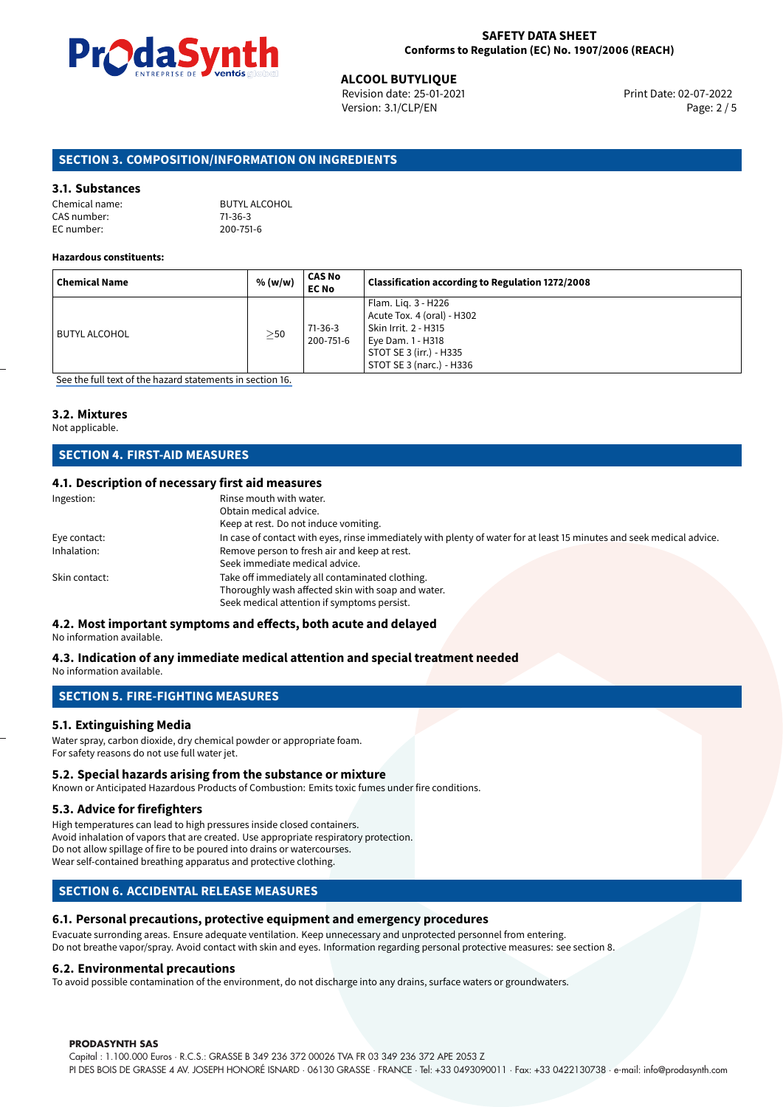

**ALCOOL BUTYLIQUE**<br>
Revision date: 25-01-2021 **Alta and Servest Print Date: 02-07-2022** Version: 3.1/CLP/EN Page: 2 / 5

## **SECTION 3. COMPOSITION/INFORMATION ON INGREDIENTS**

## **3.1. Substances**

CAS number: 71-36-3<br>EC number: 200-751-6 EC number:

Chemical name: BUTYL ALCOHOL

## **Hazardous constituents:**

| <b>Chemical Name</b> | % (w/w)   | CAS No<br><b>EC No</b> | Classification according to Regulation 1272/2008                                                                                                      |
|----------------------|-----------|------------------------|-------------------------------------------------------------------------------------------------------------------------------------------------------|
| BUTYL ALCOHOL        | $\geq$ 50 | 71-36-3<br>200-751-6   | Flam. Lig. 3 - H226<br>Acute Tox. 4 (oral) - H302<br>Skin Irrit. 2 - H315<br>Eye Dam. 1 - H318<br>STOT SE 3 (irr.) - H335<br>STOT SE 3 (narc.) - H336 |

[See the full text of the hazard statements in section 16.](#page-4-0)

## **3.2. Mixtures**

Not applicable.

## **SECTION 4. FIRST-AID MEASURES**

## **4.1. Description of necessary first aid measures**

| Ingestion:    | Rinse mouth with water.                                                                                               |
|---------------|-----------------------------------------------------------------------------------------------------------------------|
|               | Obtain medical advice.                                                                                                |
|               | Keep at rest. Do not induce vomiting.                                                                                 |
| Eye contact:  | In case of contact with eyes, rinse immediately with plenty of water for at least 15 minutes and seek medical advice. |
| Inhalation:   | Remove person to fresh air and keep at rest.                                                                          |
|               | Seek immediate medical advice.                                                                                        |
| Skin contact: | Take off immediately all contaminated clothing.                                                                       |
|               | Thoroughly wash affected skin with soap and water.                                                                    |
|               | Seek medical attention if symptoms persist.                                                                           |
|               |                                                                                                                       |

# **4.2. Most important symptoms and effects, both acute and delayed**

No information available.

# **4.3. Indication of any immediate medical attention and special treatment needed**

No information available.

## **SECTION 5. FIRE-FIGHTING MEASURES**

## **5.1. Extinguishing Media**

Water spray, carbon dioxide, dry chemical powder or appropriate foam. For safety reasons do not use full water jet.

### **5.2. Special hazards arising from the substance or mixture**

Known or Anticipated Hazardous Products of Combustion: Emits toxic fumes under fire conditions.

## **5.3. Advice for firefighters**

High temperatures can lead to high pressures inside closed containers. Avoid inhalation of vapors that are created. Use appropriate respiratory protection. Do not allow spillage of fire to be poured into drains or watercourses. Wear self-contained breathing apparatus and protective clothing.

## **SECTION 6. ACCIDENTAL RELEASE MEASURES**

## **6.1. Personal precautions, protective equipment and emergency procedures**

Evacuate surronding areas. Ensure adequate ventilation. Keep unnecessary and unprotected personnel from entering. Do not breathe vapor/spray. Avoid contact with skin and eyes. Information regarding personal protective measures: see section 8.

## **6.2. Environmental precautions**

To avoid possible contamination of the environment, do not discharge into any drains, surface waters or groundwaters.

### **PRODASYNTH SAS**

Capital : 1.100.000 Euros · R.C.S.: GRASSE B 349 236 372 00026 TVA FR 03 349 236 372 APE 2053 Z PI DES BOIS DE GRASSE 4 AV. JOSEPH HONORÉ ISNARD · 06130 GRASSE · FRANCE · Tel: +33 0493090011 · Fax: +33 0422130738 · e-mail: info@prodasynth.com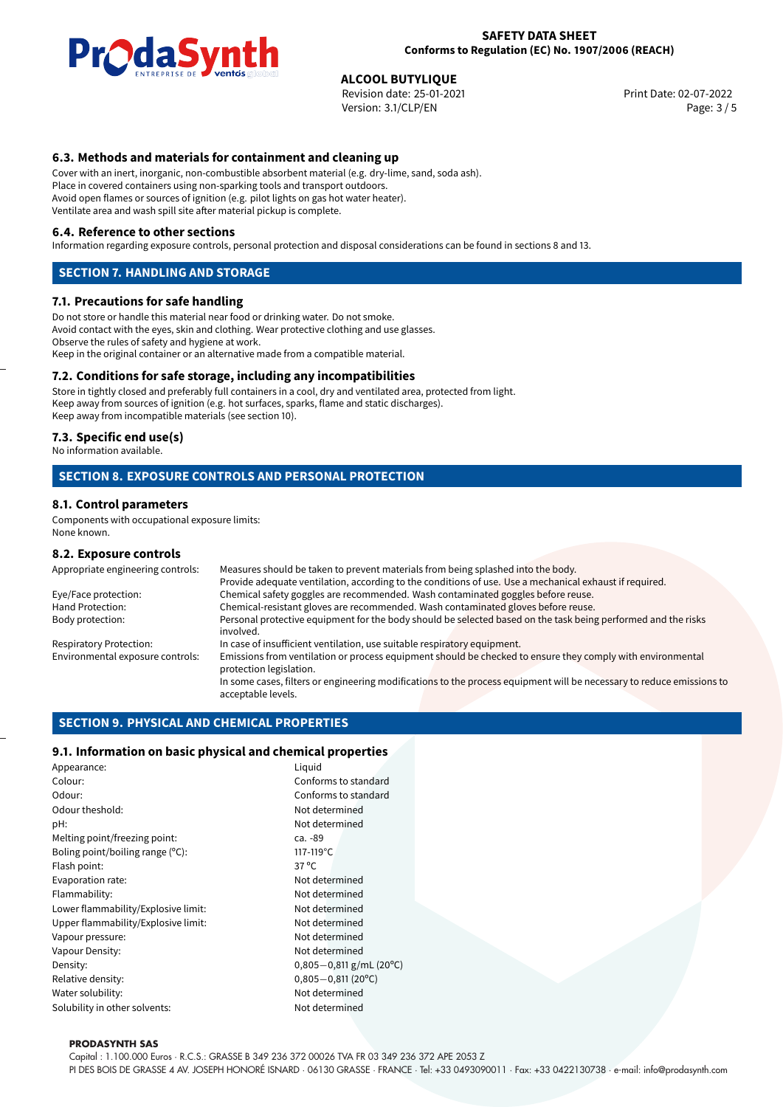

**ALCOOL BUTYLIQUE**<br>
Revision date: 25-01-2021 **Alta and Servest Print Date: 02-07-2022** Version: 3.1/CLP/EN Page: 3 / 5

## **6.3. Methods and materials for containment and cleaning up**

Cover with an inert, inorganic, non-combustible absorbent material (e.g. dry-lime, sand, soda ash). Place in covered containers using non-sparking tools and transport outdoors. Avoid open flames or sources of ignition (e.g. pilot lights on gas hot water heater). Ventilate area and wash spill site after material pickup is complete.

## **6.4. Reference to other sections**

Information regarding exposure controls, personal protection and disposal considerations can be found in sections 8 and 13.

## **SECTION 7. HANDLING AND STORAGE**

## **7.1. Precautions for safe handling**

Do not store or handle this material near food or drinking water. Do not smoke. Avoid contact with the eyes, skin and clothing. Wear protective clothing and use glasses. Observe the rules of safety and hygiene at work. Keep in the original container or an alternative made from a compatible material.

## **7.2. Conditions for safe storage, including any incompatibilities**

Store in tightly closed and preferably full containers in a cool, dry and ventilated area, protected from light. Keep away from sources of ignition (e.g. hot surfaces, sparks, flame and static discharges). Keep away from incompatible materials (see section 10).

## **7.3. Specific end use(s)**

No information available.

## **SECTION 8. EXPOSURE CONTROLS AND PERSONAL PROTECTION**

## **8.1. Control parameters**

Components with occupational exposure limits: None known.

## **8.2. Exposure controls**

| Appropriate engineering controls: | Measures should be taken to prevent materials from being splashed into the body.                                                            |  |  |
|-----------------------------------|---------------------------------------------------------------------------------------------------------------------------------------------|--|--|
|                                   | Provide adequate ventilation, according to the conditions of use. Use a mechanical exhaust if required.                                     |  |  |
| Eye/Face protection:              | Chemical safety goggles are recommended. Wash contaminated goggles before reuse.                                                            |  |  |
| Hand Protection:                  | Chemical-resistant gloves are recommended. Wash contaminated gloves before reuse.                                                           |  |  |
| Body protection:                  | Personal protective equipment for the body should be selected based on the task being performed and the risks<br>involved.                  |  |  |
| <b>Respiratory Protection:</b>    | In case of insufficient ventilation, use suitable respiratory equipment.                                                                    |  |  |
| Environmental exposure controls:  | Emissions from ventilation or process equipment should be checked to ensure they comply with environmental<br>protection legislation.       |  |  |
|                                   | In some cases, filters or engineering modifications to the process equipment will be necessary to reduce emissions to<br>acceptable levels. |  |  |
|                                   |                                                                                                                                             |  |  |

## **SECTION 9. PHYSICAL AND CHEMICAL PROPERTIES**

## **9.1. Information on basic physical and chemical properties**

| Appearance:                         | Liguid                   |  |
|-------------------------------------|--------------------------|--|
| Colour:                             | Conforms to standard     |  |
| Odour:                              | Conforms to standard     |  |
| Odour theshold:                     | Not determined           |  |
| pH:                                 | Not determined           |  |
| Melting point/freezing point:       | ca. -89                  |  |
| Boling point/boiling range $(°C)$ : | 117-119°C                |  |
| Flash point:                        | $37^{\circ}$ C           |  |
| Evaporation rate:                   | Not determined           |  |
| Flammability:                       | Not determined           |  |
| Lower flammability/Explosive limit: | Not determined           |  |
| Upper flammability/Explosive limit: | Not determined           |  |
| Vapour pressure:                    | Not determined           |  |
| Vapour Density:                     | Not determined           |  |
| Density:                            | $0,805 - 0,811$ g/mL (20 |  |
| Relative density:                   | $0,805 - 0,811(20°C)$    |  |
| Not determined<br>Water solubility: |                          |  |
| Solubility in other solvents:       | Not determined           |  |

#### **PRODASYNTH SAS**

Capital : 1.100.000 Euros · R.C.S.: GRASSE B 349 236 372 00026 TVA FR 03 349 236 372 APE 2053 Z

PI DES BOIS DE GRASSE 4 AV. JOSEPH HONORÉ ISNARD · 06130 GRASSE · FRANCE · Tel: +33 0493090011 · Fax: +33 0422130738 · e-mail: info@prodasynth.com

g/mL (20°C)<br>(20°C)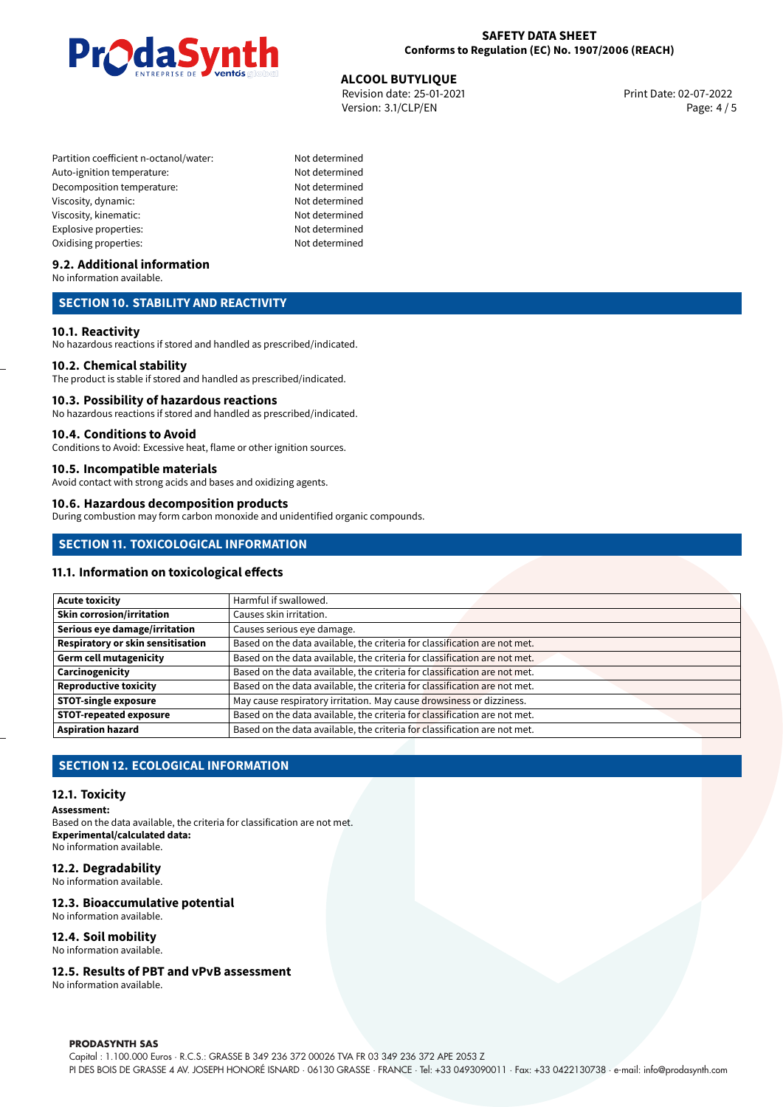

**ALCOOL BUTYLIQUE**<br>
Revision date: 25-01-2021 **Alta and Servest Print Date: 02-07-2022** Version: 3.1/CLP/EN Page: 4 / 5

Partition coefficient n-octanol/water: Not determined Auto-ignition temperature: Not determined Decomposition temperature: Not determined Viscosity, dynamic: Not determined Viscosity, kinematic: Not determined Explosive properties: Not determined Oxidising properties: Not determined

## **9.2. Additional information**

No information available.

## **SECTION 10. STABILITY AND REACTIVITY**

## **10.1. Reactivity**

No hazardous reactions if stored and handled as prescribed/indicated.

## **10.2. Chemical stability**

The product is stable if stored and handled as prescribed/indicated.

### **10.3. Possibility of hazardous reactions**

No hazardous reactions if stored and handled as prescribed/indicated.

### **10.4. Conditions to Avoid**

Conditions to Avoid: Excessive heat, flame or other ignition sources.

## **10.5. Incompatible materials**

Avoid contact with strong acids and bases and oxidizing agents.

### **10.6. Hazardous decomposition products**

During combustion may form carbon monoxide and unidentified organic compounds.

## **SECTION 11. TOXICOLOGICAL INFORMATION**

## **11.1. Information on toxicological effects**

| Acute toxicity                           | Harmful if swallowed.                                                     |  |
|------------------------------------------|---------------------------------------------------------------------------|--|
| Skin corrosion/irritation                | Causes skin irritation.                                                   |  |
| Serious eye damage/irritation            | Causes serious eye damage.                                                |  |
| <b>Respiratory or skin sensitisation</b> | Based on the data available, the criteria for classification are not met. |  |
| Germ cell mutagenicity                   | Based on the data available, the criteria for classification are not met. |  |
| Carcinogenicity                          | Based on the data available, the criteria for classification are not met. |  |
| Reproductive toxicity                    | Based on the data available, the criteria for classification are not met. |  |
| STOT-single exposure                     | May cause respiratory irritation. May cause drowsiness or dizziness.      |  |
| <b>STOT-repeated exposure</b>            | Based on the data available, the criteria for classification are not met. |  |
| Aspiration hazard                        | Based on the data available, the criteria for classification are not met. |  |

## **SECTION 12. ECOLOGICAL INFORMATION**

### **12.1. Toxicity**

#### **Assessment:**

Based on the data available, the criteria for classification are not met. **Experimental/calculated data:** No information available.

## **12.2. Degradability**

No information available.

### **12.3. Bioaccumulative potential**

No information available.

## **12.4. Soil mobility**

No information available.

## **12.5. Results of PBT and vPvB assessment**

No information available.

#### **PRODASYNTH SAS**

Capital : 1.100.000 Euros · R.C.S.: GRASSE B 349 236 372 00026 TVA FR 03 349 236 372 APE 2053 Z PI DES BOIS DE GRASSE 4 AV. JOSEPH HONORÉ ISNARD · 06130 GRASSE · FRANCE · Tel: +33 0493090011 · Fax: +33 0422130738 · e-mail: info@prodasynth.com